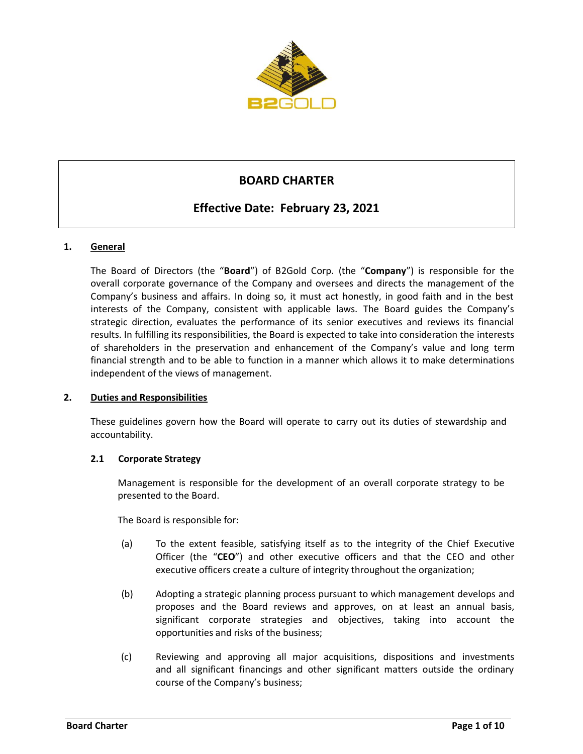

# **BOARD CHARTER**

# **Effective Date: February 23, 2021**

# **1. General**

The Board of Directors (the "**Board**") of B2Gold Corp. (the "**Company**") is responsible for the overall corporate governance of the Company and oversees and directs the management of the Company's business and affairs. In doing so, it must act honestly, in good faith and in the best interests of the Company, consistent with applicable laws. The Board guides the Company's strategic direction, evaluates the performance of its senior executives and reviews its financial results. In fulfilling its responsibilities, the Board is expected to take into consideration the interests of shareholders in the preservation and enhancement of the Company's value and long term financial strength and to be able to function in a manner which allows it to make determinations independent of the views of management.

## **2. Duties and Responsibilities**

These guidelines govern how the Board will operate to carry out its duties of stewardship and accountability.

## **2.1 Corporate Strategy**

Management is responsible for the development of an overall corporate strategy to be presented to the Board.

The Board is responsible for:

- (a) To the extent feasible, satisfying itself as to the integrity of the Chief Executive Officer (the "**CEO**") and other executive officers and that the CEO and other executive officers create a culture of integrity throughout the organization;
- (b) Adopting a strategic planning process pursuant to which management develops and proposes and the Board reviews and approves, on at least an annual basis, significant corporate strategies and objectives, taking into account the opportunities and risks of the business;
- (c) Reviewing and approving all major acquisitions, dispositions and investments and all significant financings and other significant matters outside the ordinary course of the Company's business;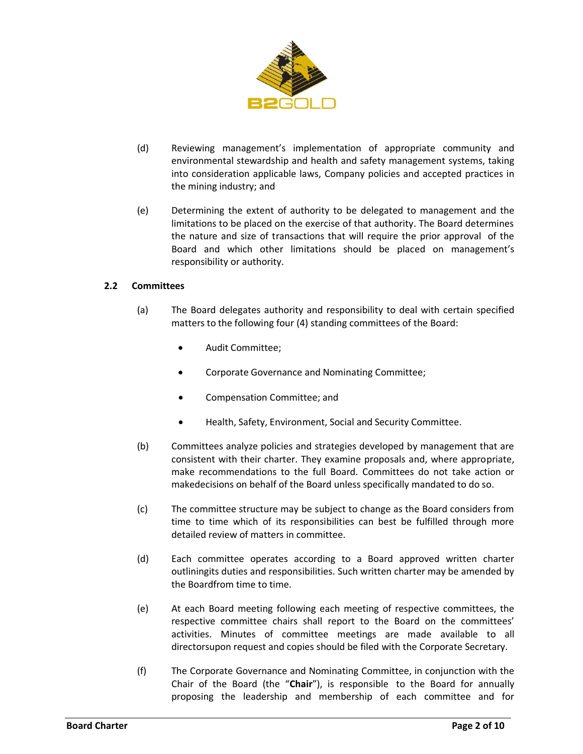

- (d) Reviewing management's implementation of appropriate community and environmental stewardship and health and safety management systems, taking into consideration applicable laws, Company policies and accepted practices in the mining industry; and
- (e) Determining the extent of authority to be delegated to management and the limitations to be placed on the exercise of that authority. The Board determines the nature and size of transactions that will require the prior approval of the Board and which other limitations should be placed on management's responsibility or authority.

# **2.2 Committees**

- (a) The Board delegates authority and responsibility to deal with certain specified matters to the following four (4) standing committees of the Board:
	- Audit Committee;
	- Corporate Governance and Nominating Committee;
	- Compensation Committee; and
	- Health, Safety, Environment, Social and Security Committee.
- (b) Committees analyze policies and strategies developed by management that are consistent with their charter. They examine proposals and, where appropriate, make recommendations to the full Board. Committees do not take action or makedecisions on behalf of the Board unless specifically mandated to do so.
- (c) The committee structure may be subject to change as the Board considers from time to time which of its responsibilities can best be fulfilled through more detailed review of matters in committee.
- (d) Each committee operates according to a Board approved written charter outliningits duties and responsibilities. Such written charter may be amended by the Boardfrom time to time.
- (e) At each Board meeting following each meeting of respective committees, the respective committee chairs shall report to the Board on the committees' activities. Minutes of committee meetings are made available to all directorsupon request and copies should be filed with the Corporate Secretary.
- (f) The Corporate Governance and Nominating Committee, in conjunction with the Chair of the Board (the "**Chair**"), is responsible to the Board for annually proposing the leadership and membership of each committee and for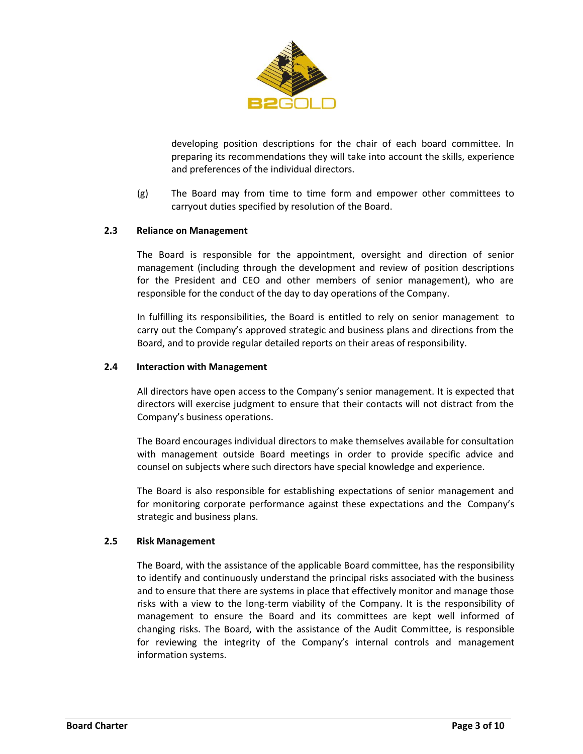

developing position descriptions for the chair of each board committee. In preparing its recommendations they will take into account the skills, experience and preferences of the individual directors.

(g) The Board may from time to time form and empower other committees to carryout duties specified by resolution of the Board.

## **2.3 Reliance on Management**

The Board is responsible for the appointment, oversight and direction of senior management (including through the development and review of position descriptions for the President and CEO and other members of senior management), who are responsible for the conduct of the day to day operations of the Company.

In fulfilling its responsibilities, the Board is entitled to rely on senior management to carry out the Company's approved strategic and business plans and directions from the Board, and to provide regular detailed reports on their areas of responsibility.

#### **2.4 Interaction with Management**

All directors have open access to the Company's senior management. It is expected that directors will exercise judgment to ensure that their contacts will not distract from the Company's business operations.

The Board encourages individual directors to make themselves available for consultation with management outside Board meetings in order to provide specific advice and counsel on subjects where such directors have special knowledge and experience.

The Board is also responsible for establishing expectations of senior management and for monitoring corporate performance against these expectations and the Company's strategic and business plans.

#### **2.5 Risk Management**

The Board, with the assistance of the applicable Board committee, has the responsibility to identify and continuously understand the principal risks associated with the business and to ensure that there are systems in place that effectively monitor and manage those risks with a view to the long-term viability of the Company. It is the responsibility of management to ensure the Board and its committees are kept well informed of changing risks. The Board, with the assistance of the Audit Committee, is responsible for reviewing the integrity of the Company's internal controls and management information systems.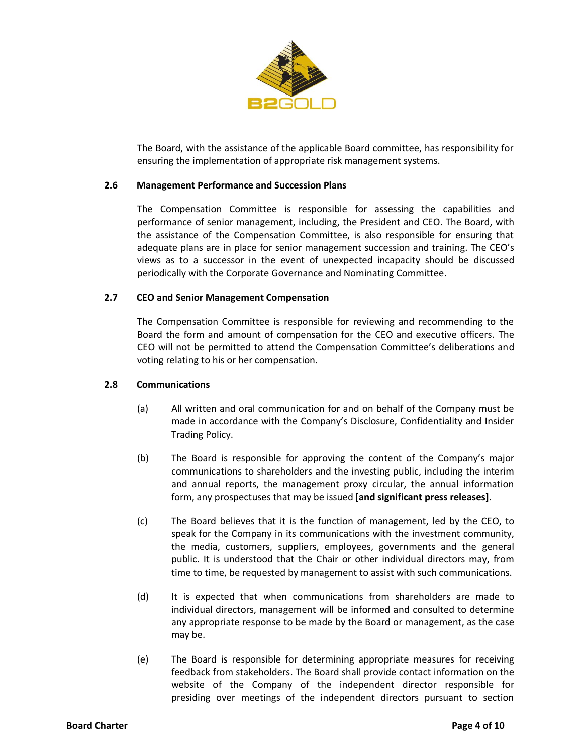

The Board, with the assistance of the applicable Board committee, has responsibility for ensuring the implementation of appropriate risk management systems.

#### **2.6 Management Performance and Succession Plans**

The Compensation Committee is responsible for assessing the capabilities and performance of senior management, including, the President and CEO. The Board, with the assistance of the Compensation Committee, is also responsible for ensuring that adequate plans are in place for senior management succession and training. The CEO's views as to a successor in the event of unexpected incapacity should be discussed periodically with the Corporate Governance and Nominating Committee.

#### **2.7 CEO and Senior Management Compensation**

The Compensation Committee is responsible for reviewing and recommending to the Board the form and amount of compensation for the CEO and executive officers. The CEO will not be permitted to attend the Compensation Committee's deliberations and voting relating to his or her compensation.

#### **2.8 Communications**

- (a) All written and oral communication for and on behalf of the Company must be made in accordance with the Company's Disclosure, Confidentiality and Insider Trading Policy.
- (b) The Board is responsible for approving the content of the Company's major communications to shareholders and the investing public, including the interim and annual reports, the management proxy circular, the annual information form, any prospectuses that may be issued **[and significant press releases]**.
- (c) The Board believes that it is the function of management, led by the CEO, to speak for the Company in its communications with the investment community, the media, customers, suppliers, employees, governments and the general public. It is understood that the Chair or other individual directors may, from time to time, be requested by management to assist with such communications.
- (d) It is expected that when communications from shareholders are made to individual directors, management will be informed and consulted to determine any appropriate response to be made by the Board or management, as the case may be.
- (e) The Board is responsible for determining appropriate measures for receiving feedback from stakeholders. The Board shall provide contact information on the website of the Company of the independent director responsible for presiding over meetings of the independent directors pursuant to section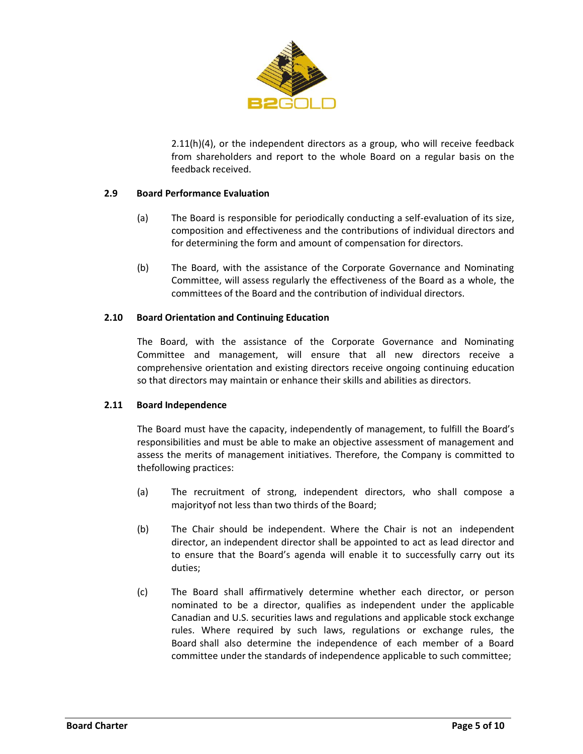

2.11(h)(4), or the independent directors as a group, who will receive feedback from shareholders and report to the whole Board on a regular basis on the feedback received.

# **2.9 Board Performance Evaluation**

- (a) The Board is responsible for periodically conducting a self-evaluation of its size, composition and effectiveness and the contributions of individual directors and for determining the form and amount of compensation for directors.
- (b) The Board, with the assistance of the Corporate Governance and Nominating Committee, will assess regularly the effectiveness of the Board as a whole, the committees of the Board and the contribution of individual directors.

## **2.10 Board Orientation and Continuing Education**

The Board, with the assistance of the Corporate Governance and Nominating Committee and management, will ensure that all new directors receive a comprehensive orientation and existing directors receive ongoing continuing education so that directors may maintain or enhance their skills and abilities as directors.

## <span id="page-4-0"></span>**2.11 Board Independence**

The Board must have the capacity, independently of management, to fulfill the Board's responsibilities and must be able to make an objective assessment of management and assess the merits of management initiatives. Therefore, the Company is committed to thefollowing practices:

- (a) The recruitment of strong, independent directors, who shall compose a majorityof not less than two thirds of the Board;
- <span id="page-4-1"></span>(b) The Chair should be independent. Where the Chair is not an independent director, an independent director shall be appointed to act as lead director and to ensure that the Board's agenda will enable it to successfully carry out its duties;
- (c) The Board shall affirmatively determine whether each director, or person nominated to be a director, qualifies as independent under the applicable Canadian and U.S. securities laws and regulations and applicable stock exchange rules. Where required by such laws, regulations or exchange rules, the Board shall also determine the independence of each member of a Board committee under the standards of independence applicable to such committee;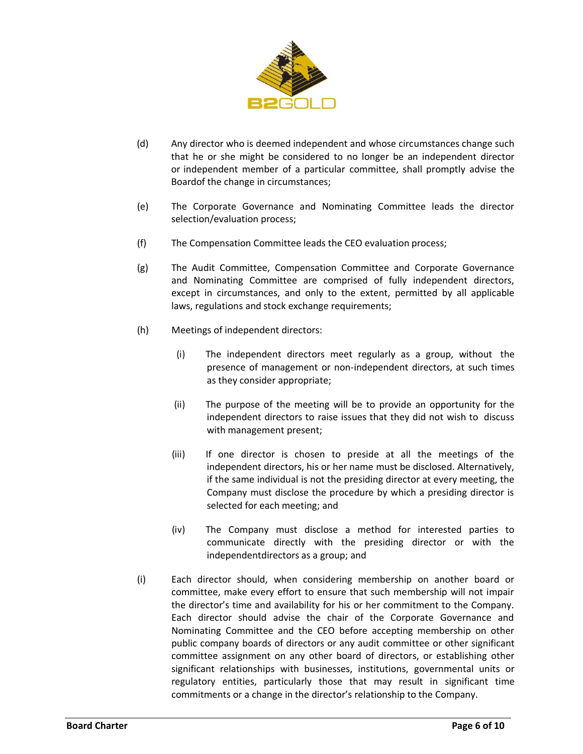

- (d) Any director who is deemed independent and whose circumstances change such that he or she might be considered to no longer be an independent director or independent member of a particular committee, shall promptly advise the Boardof the change in circumstances;
- (e) The Corporate Governance and Nominating Committee leads the director selection/evaluation process;
- (f) The Compensation Committee leads the CEO evaluation process;
- (g) The Audit Committee, Compensation Committee and Corporate Governance and Nominating Committee are comprised of fully independent directors, except in circumstances, and only to the extent, permitted by all applicable laws, regulations and stock exchange requirements;
- (h) Meetings of independent directors:
	- (i) The independent directors meet regularly as a group, without the presence of management or non-independent directors, at such times as they consider appropriate;
	- (ii) The purpose of the meeting will be to provide an opportunity for the independent directors to raise issues that they did not wish to discuss with management present;
	- (iii) If one director is chosen to preside at all the meetings of the independent directors, his or her name must be disclosed. Alternatively, if the same individual is not the presiding director at every meeting, the Company must disclose the procedure by which a presiding director is selected for each meeting; and
	- (iv) The Company must disclose a method for interested parties to communicate directly with the presiding director or with the independentdirectors as a group; and
- (i) Each director should, when considering membership on another board or committee, make every effort to ensure that such membership will not impair the director's time and availability for his or her commitment to the Company. Each director should advise the chair of the Corporate Governance and Nominating Committee and the CEO before accepting membership on other public company boards of directors or any audit committee or other significant committee assignment on any other board of directors, or establishing other significant relationships with businesses, institutions, governmental units or regulatory entities, particularly those that may result in significant time commitments or a change in the director's relationship to the Company.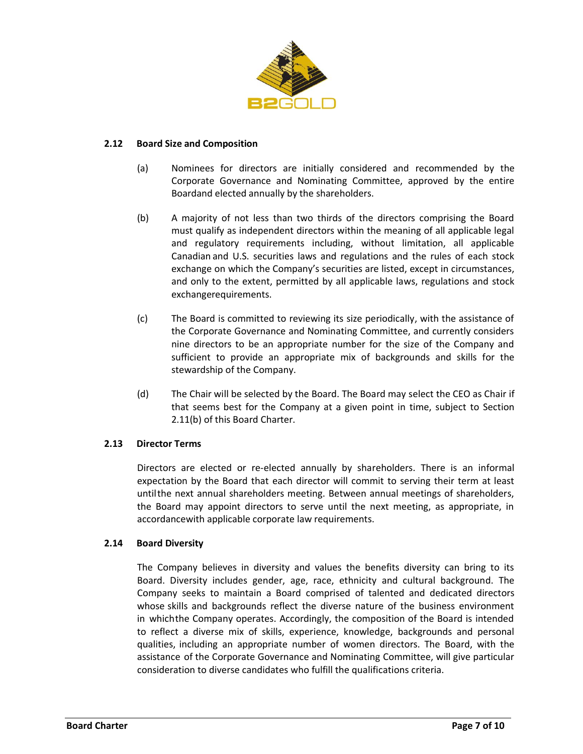

## **2.12 Board Size and Composition**

- (a) Nominees for directors are initially considered and recommended by the Corporate Governance and Nominating Committee, approved by the entire Boardand elected annually by the shareholders.
- (b) A majority of not less than two thirds of the directors comprising the Board must qualify as independent directors within the meaning of all applicable legal and regulatory requirements including, without limitation, all applicable Canadian and U.S. securities laws and regulations and the rules of each stock exchange on which the Company's securities are listed, except in circumstances, and only to the extent, permitted by all applicable laws, regulations and stock exchangerequirements.
- (c) The Board is committed to reviewing its size periodically, with the assistance of the Corporate Governance and Nominating Committee, and currently considers nine directors to be an appropriate number for the size of the Company and sufficient to provide an appropriate mix of backgrounds and skills for the stewardship of the Company.
- (d) The Chair will be selected by the Board. The Board may select the CEO as Chair if that seems best for the Company at a given point in time, subject to Section [2.11](#page-4-0)[\(b\) o](#page-4-1)f this Board Charter.

## **2.13 Director Terms**

Directors are elected or re-elected annually by shareholders. There is an informal expectation by the Board that each director will commit to serving their term at least untilthe next annual shareholders meeting. Between annual meetings of shareholders, the Board may appoint directors to serve until the next meeting, as appropriate, in accordancewith applicable corporate law requirements.

#### **2.14 Board Diversity**

The Company believes in diversity and values the benefits diversity can bring to its Board. Diversity includes gender, age, race, ethnicity and cultural background. The Company seeks to maintain a Board comprised of talented and dedicated directors whose skills and backgrounds reflect the diverse nature of the business environment in whichthe Company operates. Accordingly, the composition of the Board is intended to reflect a diverse mix of skills, experience, knowledge, backgrounds and personal qualities, including an appropriate number of women directors. The Board, with the assistance of the Corporate Governance and Nominating Committee, will give particular consideration to diverse candidates who fulfill the qualifications criteria.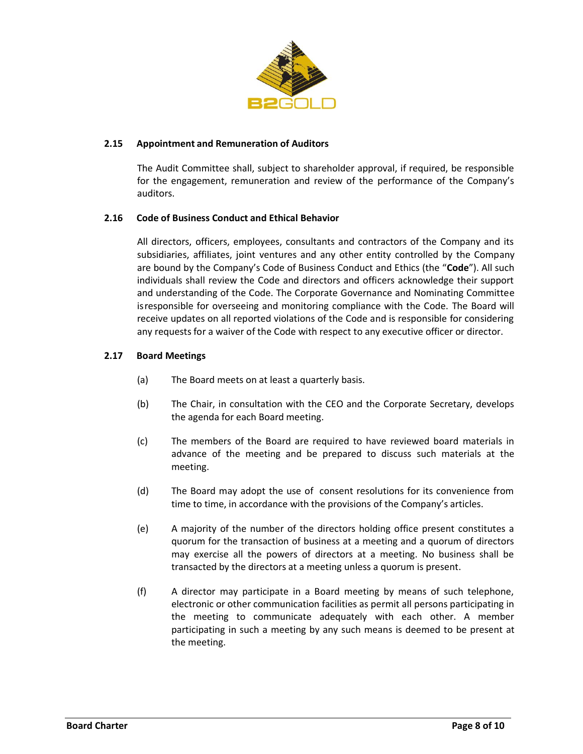

## **2.15 Appointment and Remuneration of Auditors**

The Audit Committee shall, subject to shareholder approval, if required, be responsible for the engagement, remuneration and review of the performance of the Company's auditors.

## **2.16 Code of Business Conduct and Ethical Behavior**

All directors, officers, employees, consultants and contractors of the Company and its subsidiaries, affiliates, joint ventures and any other entity controlled by the Company are bound by the Company's Code of Business Conduct and Ethics (the "**Code**"). All such individuals shall review the Code and directors and officers acknowledge their support and understanding of the Code. The Corporate Governance and Nominating Committee isresponsible for overseeing and monitoring compliance with the Code. The Board will receive updates on all reported violations of the Code and is responsible for considering any requests for a waiver of the Code with respect to any executive officer or director.

## **2.17 Board Meetings**

- (a) The Board meets on at least a quarterly basis.
- (b) The Chair, in consultation with the CEO and the Corporate Secretary, develops the agenda for each Board meeting.
- (c) The members of the Board are required to have reviewed board materials in advance of the meeting and be prepared to discuss such materials at the meeting.
- (d) The Board may adopt the use of consent resolutions for its convenience from time to time, in accordance with the provisions of the Company's articles.
- (e) A majority of the number of the directors holding office present constitutes a quorum for the transaction of business at a meeting and a quorum of directors may exercise all the powers of directors at a meeting. No business shall be transacted by the directors at a meeting unless a quorum is present.
- (f) A director may participate in a Board meeting by means of such telephone, electronic or other communication facilities as permit all persons participating in the meeting to communicate adequately with each other. A member participating in such a meeting by any such means is deemed to be present at the meeting.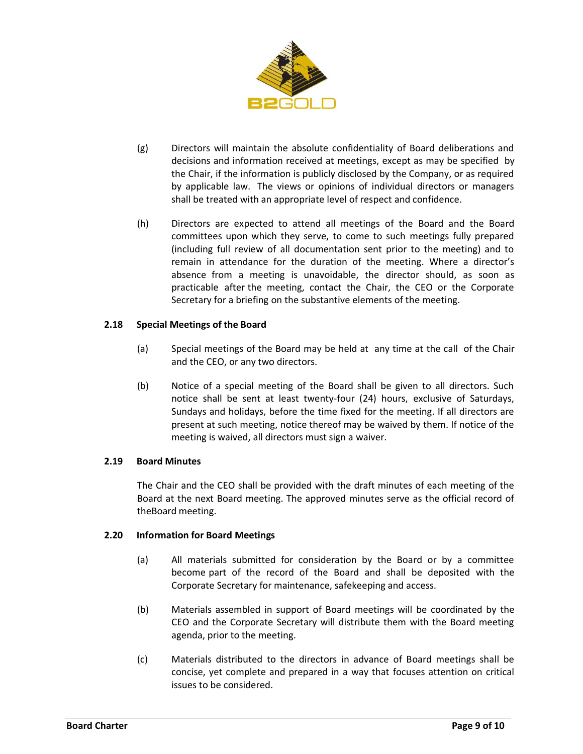

- (g) Directors will maintain the absolute confidentiality of Board deliberations and decisions and information received at meetings, except as may be specified by the Chair, if the information is publicly disclosed by the Company, or as required by applicable law. The views or opinions of individual directors or managers shall be treated with an appropriate level of respect and confidence.
- (h) Directors are expected to attend all meetings of the Board and the Board committees upon which they serve, to come to such meetings fully prepared (including full review of all documentation sent prior to the meeting) and to remain in attendance for the duration of the meeting. Where a director's absence from a meeting is unavoidable, the director should, as soon as practicable after the meeting, contact the Chair, the CEO or the Corporate Secretary for a briefing on the substantive elements of the meeting.

# **2.18 Special Meetings of the Board**

- (a) Special meetings of the Board may be held at any time at the call of the Chair and the CEO, or any two directors.
- (b) Notice of a special meeting of the Board shall be given to all directors. Such notice shall be sent at least twenty-four (24) hours, exclusive of Saturdays, Sundays and holidays, before the time fixed for the meeting. If all directors are present at such meeting, notice thereof may be waived by them. If notice of the meeting is waived, all directors must sign a waiver.

## **2.19 Board Minutes**

The Chair and the CEO shall be provided with the draft minutes of each meeting of the Board at the next Board meeting. The approved minutes serve as the official record of theBoard meeting.

## **2.20 Information for Board Meetings**

- (a) All materials submitted for consideration by the Board or by a committee become part of the record of the Board and shall be deposited with the Corporate Secretary for maintenance, safekeeping and access.
- (b) Materials assembled in support of Board meetings will be coordinated by the CEO and the Corporate Secretary will distribute them with the Board meeting agenda, prior to the meeting.
- (c) Materials distributed to the directors in advance of Board meetings shall be concise, yet complete and prepared in a way that focuses attention on critical issues to be considered.